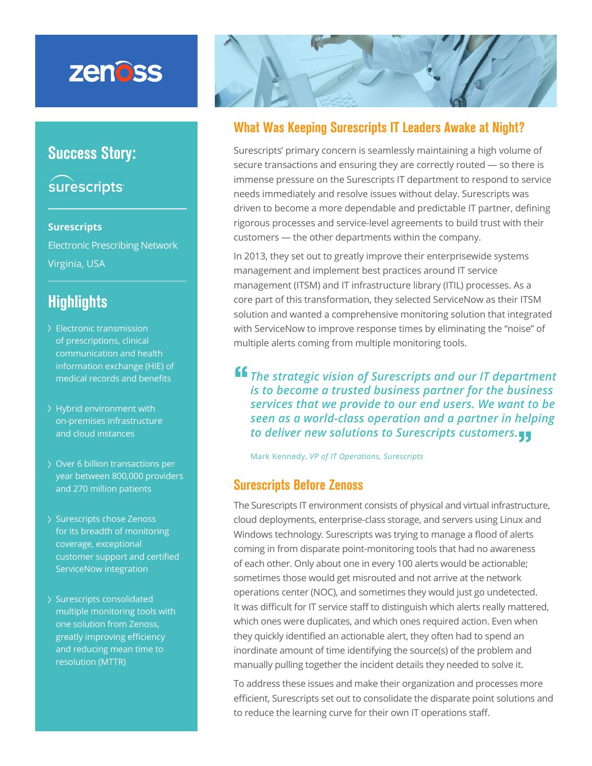# zenoss

### Success Story:

## surescripts

#### **Surescripts**

Electronic Prescribing Network Virginia, USA

### **Highlights**

- Electronic transmission of prescriptions, clinical communication and health information exchange (HIE) of medical records and benefits
- Hybrid environment with on-premises infrastructure and cloud instances
- Over 6 billion transactions per year between 800,000 providers and 270 million patients
- > Surescripts chose Zenoss for its breadth of monitoring coverage, exceptional customer support and certified ServiceNow integration
- > Surescripts consolidated multiple monitoring tools with one solution from Zenoss, greatly improving efficiency and reducing mean time to resolution (MTTR)



#### What Was Keeping Surescripts IT Leaders Awake at Night?

Surescripts' primary concern is seamlessly maintaining a high volume of secure transactions and ensuring they are correctly routed — so there is immense pressure on the Surescripts IT department to respond to service needs immediately and resolve issues without delay. Surescripts was driven to become a more dependable and predictable IT partner, defining rigorous processes and service-level agreements to build trust with their customers — the other departments within the company.

In 2013, they set out to greatly improve their enterprisewide systems management and implement best practices around IT service management (ITSM) and IT infrastructure library (ITIL) processes. As a core part of this transformation, they selected ServiceNow as their ITSM solution and wanted a comprehensive monitoring solution that integrated with ServiceNow to improve response times by eliminating the "noise" of multiple alerts coming from multiple monitoring tools.

**<sup>ff</sup>** The strategic vision of Surescripts and our IT department *is to become a trusted business partner for the business services that we provide to our end users. We want to be seen as a world-class operation and a partner in helping to deliver new solutions to Surescripts customers.* **"**

Mark Kennedy, *VP of IT Operations, Surescripts*

#### Surescripts Before Zenoss

The Surescripts IT environment consists of physical and virtual infrastructure, cloud deployments, enterprise-class storage, and servers using Linux and Windows technology. Surescripts was trying to manage a flood of alerts coming in from disparate point-monitoring tools that had no awareness of each other. Only about one in every 100 alerts would be actionable; sometimes those would get misrouted and not arrive at the network operations center (NOC), and sometimes they would just go undetected. It was difficult for IT service staff to distinguish which alerts really mattered, which ones were duplicates, and which ones required action. Even when they quickly identified an actionable alert, they often had to spend an inordinate amount of time identifying the source(s) of the problem and manually pulling together the incident details they needed to solve it.

To address these issues and make their organization and processes more efficient, Surescripts set out to consolidate the disparate point solutions and to reduce the learning curve for their own IT operations staff.